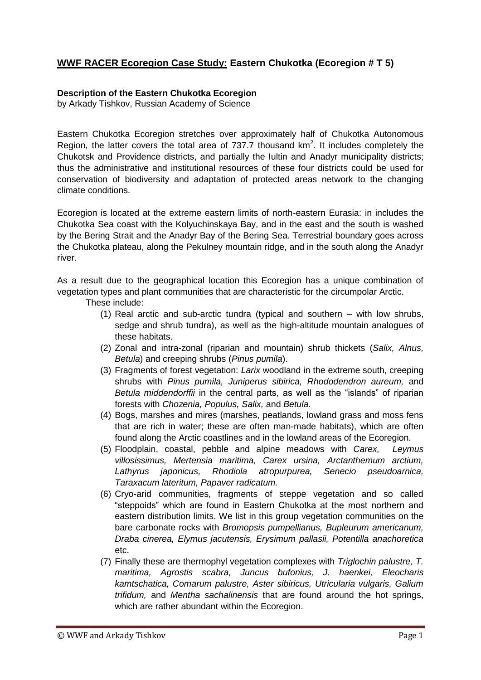## **WWF RACER Ecoregion Case Study: Eastern Chukotka (Ecoregion # T 5)**

## **Description of the Eastern Chukotka Ecoregion**

by Arkady Tishkov, Russian Academy of Science

Eastern Chukotka Ecoregion stretches over approximately half of Chukotka Autonomous Region, the latter covers the total area of 737.7 thousand  $km^2$ . It includes completely the Chukotsk and Providence districts, and partially the Iultin and Anadyr municipality districts; thus the administrative and institutional resources of these four districts could be used for conservation of biodiversity and adaptation of protected areas network to the changing climate conditions.

Ecoregion is located at the extreme eastern limits of north-eastern Eurasia: in includes the Chukotka Sea coast with the Kolyuchinskaya Bay, and in the east and the south is washed by the Bering Strait and the Anadyr Bay of the Bering Sea. Terrestrial boundary goes across the Chukotka plateau, along the Pekulney mountain ridge, and in the south along the Anadyr river.

As a result due to the geographical location this Ecoregion has a unique combination of vegetation types and plant communities that are characteristic for the circumpolar Arctic.

These include:

- (1) Real arctic and sub-arctic tundra (typical and southern with low shrubs, sedge and shrub tundra), as well as the high-altitude mountain analogues of these habitats.
- (2) Zonal and intra-zonal (riparian and mountain) shrub thickets (*Salix, Alnus, Betula*) and creeping shrubs (*Pinus pumila*).
- (3) Fragments of forest vegetation: *Larix* woodland in the extreme south, creeping shrubs with *Pinus pumila, Juniperus sibirica, Rhododendron aureum,* and *Betula middendorffii* in the central parts, as well as the "islands" of riparian forests with *Chozenia, Populus, Salix,* and *Betula.*
- (4) Bogs, marshes and mires (marshes, peatlands, lowland grass and moss fens that are rich in water; these are often man-made habitats), which are often found along the Arctic coastlines and in the lowland areas of the Ecoregion.
- (5) Floodplain, coastal, pebble and alpine meadows with *Carex, Leymus villosissimus, Mertensia maritima, Carex ursina, Arctanthemum arctium, Lathyrus japonicus, Rhodiola atropurpurea, Senecio pseudoarnica, Taraxacum lateritum, Papaver radicatum.*
- (6) Cryo-arid communities, fragments of steppe vegetation and so called "steppoids" which are found in Eastern Chukotka at the most northern and eastern distribution limits. We list in this group vegetation communities on the bare carbonate rocks with *Bromopsis pumpellianus, Bupleurum americanum, Draba cinerea, Elymus jacutensis, Erysimum pallasii, Potentilla anachoretica* etc.
- (7) Finally these are thermophyl vegetation complexes with *Triglochin palustre, T. maritima, Agrostis scabra, Juncus bufonius, J. haenkei, Eleocharis kamtschatica, Comarum palustre, Aster sibiricus, Utricularia vulgaris, Galium trifidum,* and *Mentha sachalinensis* that are found around the hot springs, which are rather abundant within the Ecoregion.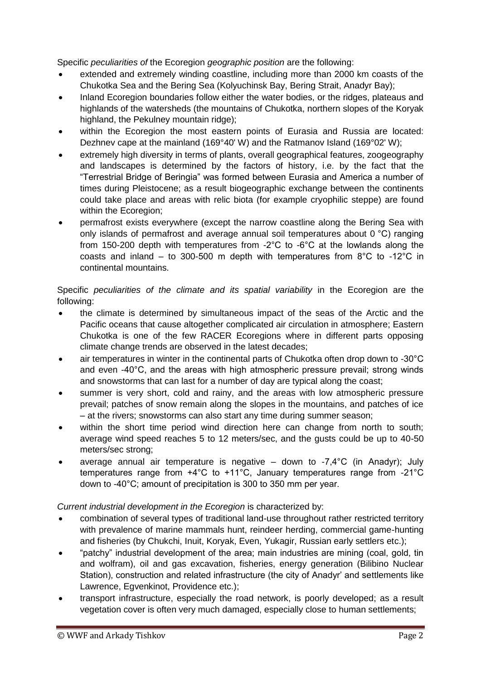Specific *peculiarities of* the Ecoregion *geographic position* are the following:

- extended and extremely winding coastline, including more than 2000 km coasts of the Chukotka Sea and the Bering Sea (Kolyuchinsk Bay, Bering Strait, Anadyr Bay);
- Inland Ecoregion boundaries follow either the water bodies, or the ridges, plateaus and highlands of the watersheds (the mountains of Chukotka, northern slopes of the Koryak highland, the Pekulney mountain ridge);
- within the Ecoregion the most eastern points of Eurasia and Russia are located: Dezhnev cape at the mainland (169°40' W) and the Ratmanov Island (169°02' W);
- extremely high diversity in terms of plants, overall geographical features, zoogeography and landscapes is determined by the factors of history, i.e. by the fact that the "Terrestrial Bridge of Beringia" was formed between Eurasia and America a number of times during Pleistocene; as a result biogeographic exchange between the continents could take place and areas with relic biota (for example cryophilic steppe) are found within the Ecoregion;
- permafrost exists everywhere (except the narrow coastline along the Bering Sea with only islands of permafrost and average annual soil temperatures about 0 °С) ranging from 150-200 depth with temperatures from -2°C to -6°C at the lowlands along the coasts and inland – to 300-500 m depth with temperatures from 8°С to -12°С in continental mountains.

Specific *peculiarities of the climate and its spatial variability* in the Ecoregion are the following:

- the climate is determined by simultaneous impact of the seas of the Arctic and the Pacific oceans that cause altogether complicated air circulation in atmosphere; Eastern Chukotka is one of the few RACER Ecoregions where in different parts opposing climate change trends are observed in the latest decades;
- air temperatures in winter in the continental parts of Chukotka often drop down to -30°С and even -40°С, and the areas with high atmospheric pressure prevail; strong winds and snowstorms that can last for a number of day are typical along the coast;
- summer is very short, cold and rainy, and the areas with low atmospheric pressure prevail; patches of snow remain along the slopes in the mountains, and patches of ice – at the rivers; snowstorms can also start any time during summer season;
- within the short time period wind direction here can change from north to south; average wind speed reaches 5 to 12 meters/sec, and the gusts could be up to 40-50 meters/sec strong;
- average annual air temperature is negative  $-$  down to  $-7,4^{\circ}$ C (in Anadyr); July temperatures range from +4°С to +11°С, January temperatures range from -21°С down to -40°С; amount of precipitation is 300 to 350 mm per year.

*Current industrial development in the Ecoregion* is characterized by:

- combination of several types of traditional land-use throughout rather restricted territory with prevalence of marine mammals hunt, reindeer herding, commercial game-hunting and fisheries (by Chukchi, Inuit, Koryak, Even, Yukagir, Russian early settlers etc.);
- "patchy" industrial development of the area; main industries are mining (coal, gold, tin and wolfram), oil and gas excavation, fisheries, energy generation (Bilibino Nuclear Station), construction and related infrastructure (the city of Anadyr' and settlements like Lawrence, Egvenkinot, Providence etc.);
- transport infrastructure, especially the road network, is poorly developed; as a result vegetation cover is often very much damaged, especially close to human settlements;